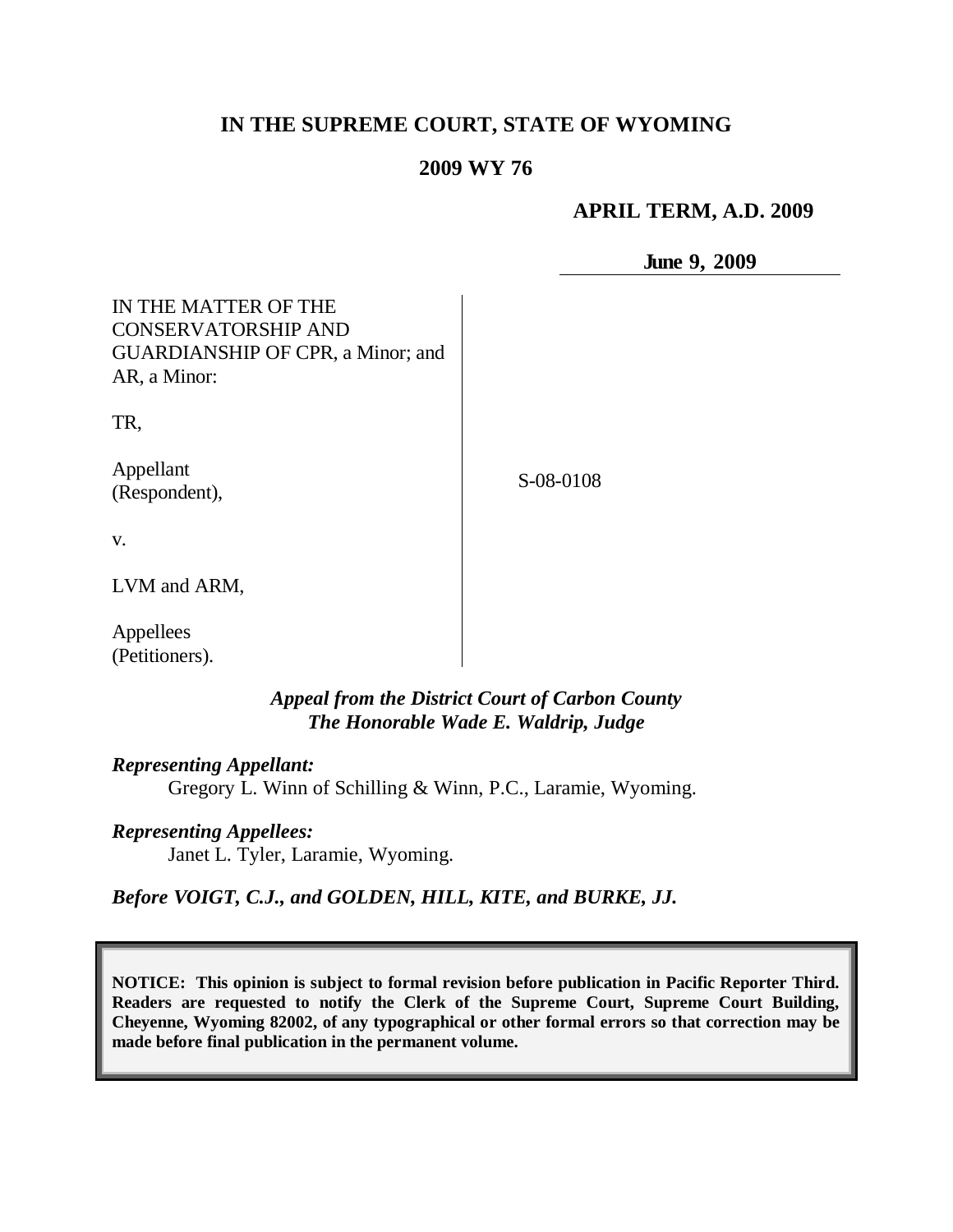# **IN THE SUPREME COURT, STATE OF WYOMING**

#### **2009 WY 76**

#### **APRIL TERM, A.D. 2009**

**June 9, 2009**

| IN THE MATTER OF THE                     |           |
|------------------------------------------|-----------|
| <b>CONSERVATORSHIP AND</b>               |           |
| <b>GUARDIANSHIP OF CPR, a Minor; and</b> |           |
| AR, a Minor:                             |           |
|                                          |           |
| TR,                                      |           |
|                                          |           |
| Appellant                                | S-08-0108 |
| (Respondent),                            |           |
|                                          |           |
| V.                                       |           |
|                                          |           |
| LVM and ARM,                             |           |
|                                          |           |
| Appellees                                |           |
| (Petitioners).                           |           |

### *Appeal from the District Court of Carbon County The Honorable Wade E. Waldrip, Judge*

#### *Representing Appellant:*

Gregory L. Winn of Schilling & Winn, P.C., Laramie, Wyoming.

#### *Representing Appellees:*

Janet L. Tyler, Laramie, Wyoming.

*Before VOIGT, C.J., and GOLDEN, HILL, KITE, and BURKE, JJ.*

**NOTICE: This opinion is subject to formal revision before publication in Pacific Reporter Third. Readers are requested to notify the Clerk of the Supreme Court, Supreme Court Building, Cheyenne, Wyoming 82002, of any typographical or other formal errors so that correction may be made before final publication in the permanent volume.**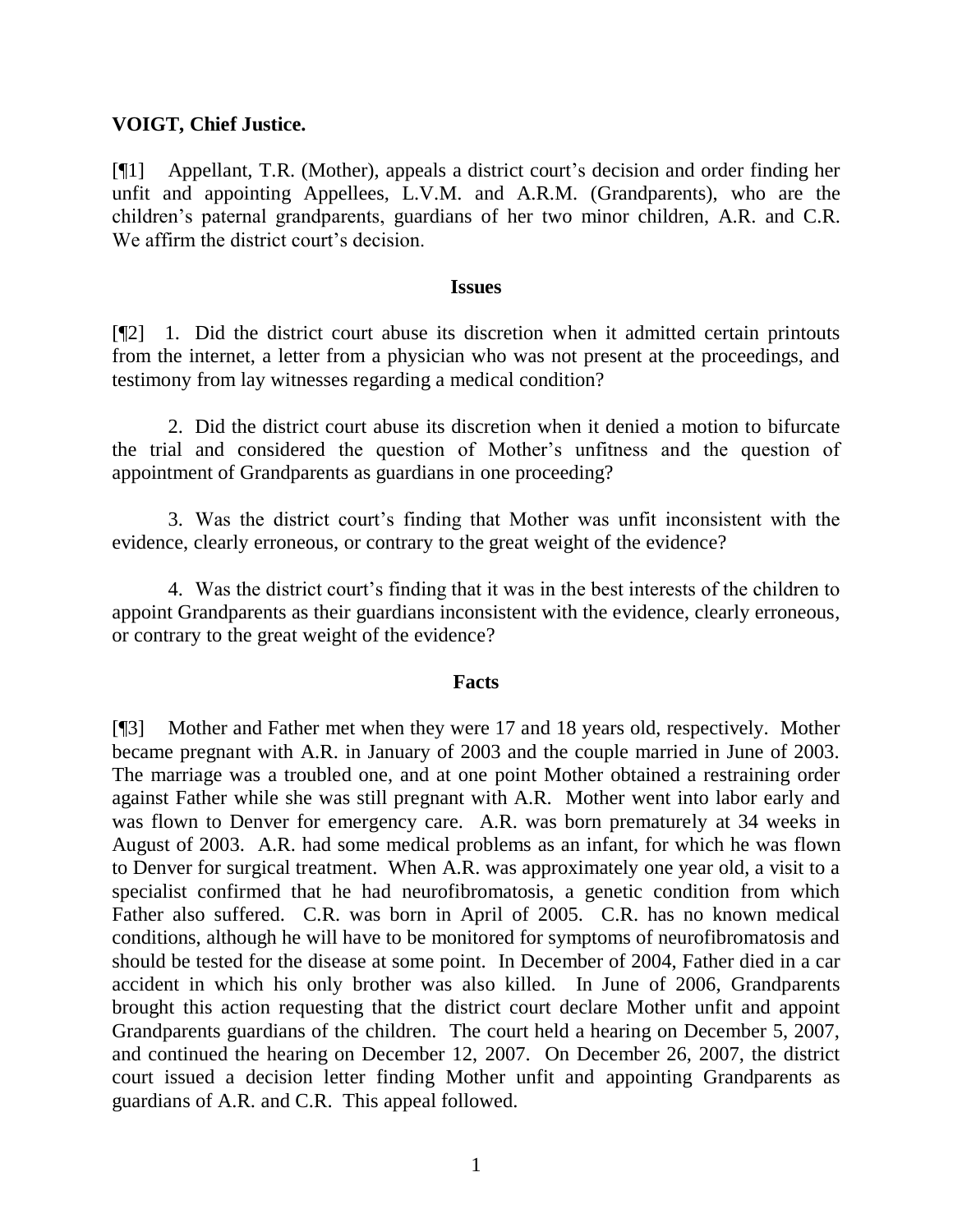### **VOIGT, Chief Justice.**

[¶1] Appellant, T.R. (Mother), appeals a district court's decision and order finding her unfit and appointing Appellees, L.V.M. and A.R.M. (Grandparents), who are the children's paternal grandparents, guardians of her two minor children, A.R. and C.R. We affirm the district court's decision.

#### **Issues**

[¶2] 1. Did the district court abuse its discretion when it admitted certain printouts from the internet, a letter from a physician who was not present at the proceedings, and testimony from lay witnesses regarding a medical condition?

2. Did the district court abuse its discretion when it denied a motion to bifurcate the trial and considered the question of Mother's unfitness and the question of appointment of Grandparents as guardians in one proceeding?

3. Was the district court's finding that Mother was unfit inconsistent with the evidence, clearly erroneous, or contrary to the great weight of the evidence?

4. Was the district court's finding that it was in the best interests of the children to appoint Grandparents as their guardians inconsistent with the evidence, clearly erroneous, or contrary to the great weight of the evidence?

### **Facts**

[¶3] Mother and Father met when they were 17 and 18 years old, respectively. Mother became pregnant with A.R. in January of 2003 and the couple married in June of 2003. The marriage was a troubled one, and at one point Mother obtained a restraining order against Father while she was still pregnant with A.R. Mother went into labor early and was flown to Denver for emergency care. A.R. was born prematurely at 34 weeks in August of 2003. A.R. had some medical problems as an infant, for which he was flown to Denver for surgical treatment. When A.R. was approximately one year old, a visit to a specialist confirmed that he had neurofibromatosis, a genetic condition from which Father also suffered. C.R. was born in April of 2005. C.R. has no known medical conditions, although he will have to be monitored for symptoms of neurofibromatosis and should be tested for the disease at some point. In December of 2004, Father died in a car accident in which his only brother was also killed. In June of 2006, Grandparents brought this action requesting that the district court declare Mother unfit and appoint Grandparents guardians of the children. The court held a hearing on December 5, 2007, and continued the hearing on December 12, 2007. On December 26, 2007, the district court issued a decision letter finding Mother unfit and appointing Grandparents as guardians of A.R. and C.R. This appeal followed.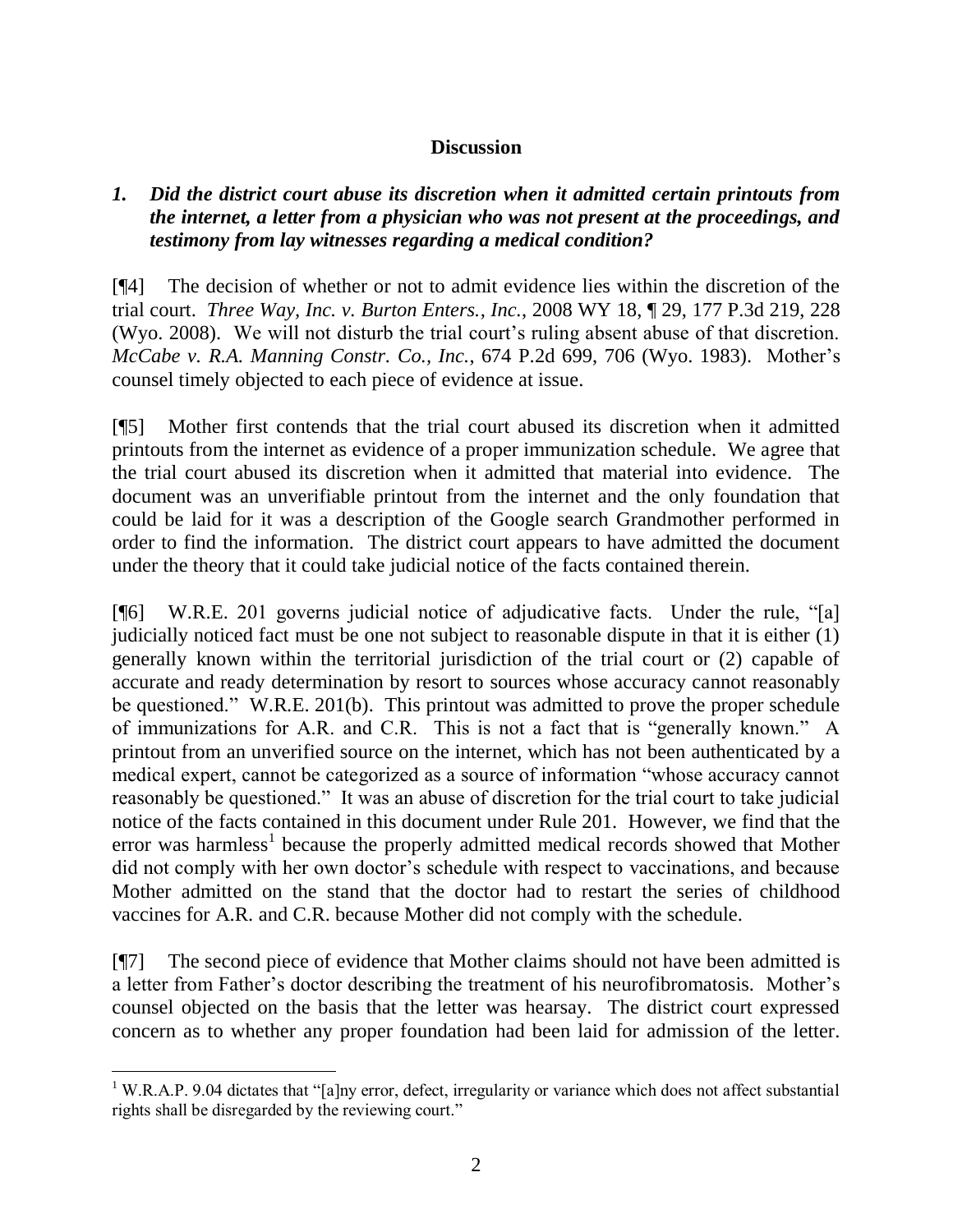# **Discussion**

# *1. Did the district court abuse its discretion when it admitted certain printouts from the internet, a letter from a physician who was not present at the proceedings, and testimony from lay witnesses regarding a medical condition?*

[¶4] The decision of whether or not to admit evidence lies within the discretion of the trial court. *Three Way, Inc. v. Burton Enters., Inc.*, 2008 WY 18, ¶ 29, 177 P.3d 219, 228 (Wyo. 2008). We will not disturb the trial court's ruling absent abuse of that discretion. *McCabe v. R.A. Manning Constr. Co., Inc.*, 674 P.2d 699, 706 (Wyo. 1983). Mother's counsel timely objected to each piece of evidence at issue.

[¶5] Mother first contends that the trial court abused its discretion when it admitted printouts from the internet as evidence of a proper immunization schedule. We agree that the trial court abused its discretion when it admitted that material into evidence. The document was an unverifiable printout from the internet and the only foundation that could be laid for it was a description of the Google search Grandmother performed in order to find the information. The district court appears to have admitted the document under the theory that it could take judicial notice of the facts contained therein.

[¶6] W.R.E. 201 governs judicial notice of adjudicative facts. Under the rule, "[a] judicially noticed fact must be one not subject to reasonable dispute in that it is either (1) generally known within the territorial jurisdiction of the trial court or (2) capable of accurate and ready determination by resort to sources whose accuracy cannot reasonably be questioned." W.R.E. 201(b). This printout was admitted to prove the proper schedule of immunizations for A.R. and C.R. This is not a fact that is "generally known." A printout from an unverified source on the internet, which has not been authenticated by a medical expert, cannot be categorized as a source of information "whose accuracy cannot reasonably be questioned." It was an abuse of discretion for the trial court to take judicial notice of the facts contained in this document under Rule 201. However, we find that the error was harmless<sup>1</sup> because the properly admitted medical records showed that Mother did not comply with her own doctor's schedule with respect to vaccinations, and because Mother admitted on the stand that the doctor had to restart the series of childhood vaccines for A.R. and C.R. because Mother did not comply with the schedule.

[¶7] The second piece of evidence that Mother claims should not have been admitted is a letter from Father's doctor describing the treatment of his neurofibromatosis. Mother's counsel objected on the basis that the letter was hearsay. The district court expressed concern as to whether any proper foundation had been laid for admission of the letter.

<sup>&</sup>lt;sup>1</sup> W.R.A.P. 9.04 dictates that "[a]ny error, defect, irregularity or variance which does not affect substantial rights shall be disregarded by the reviewing court."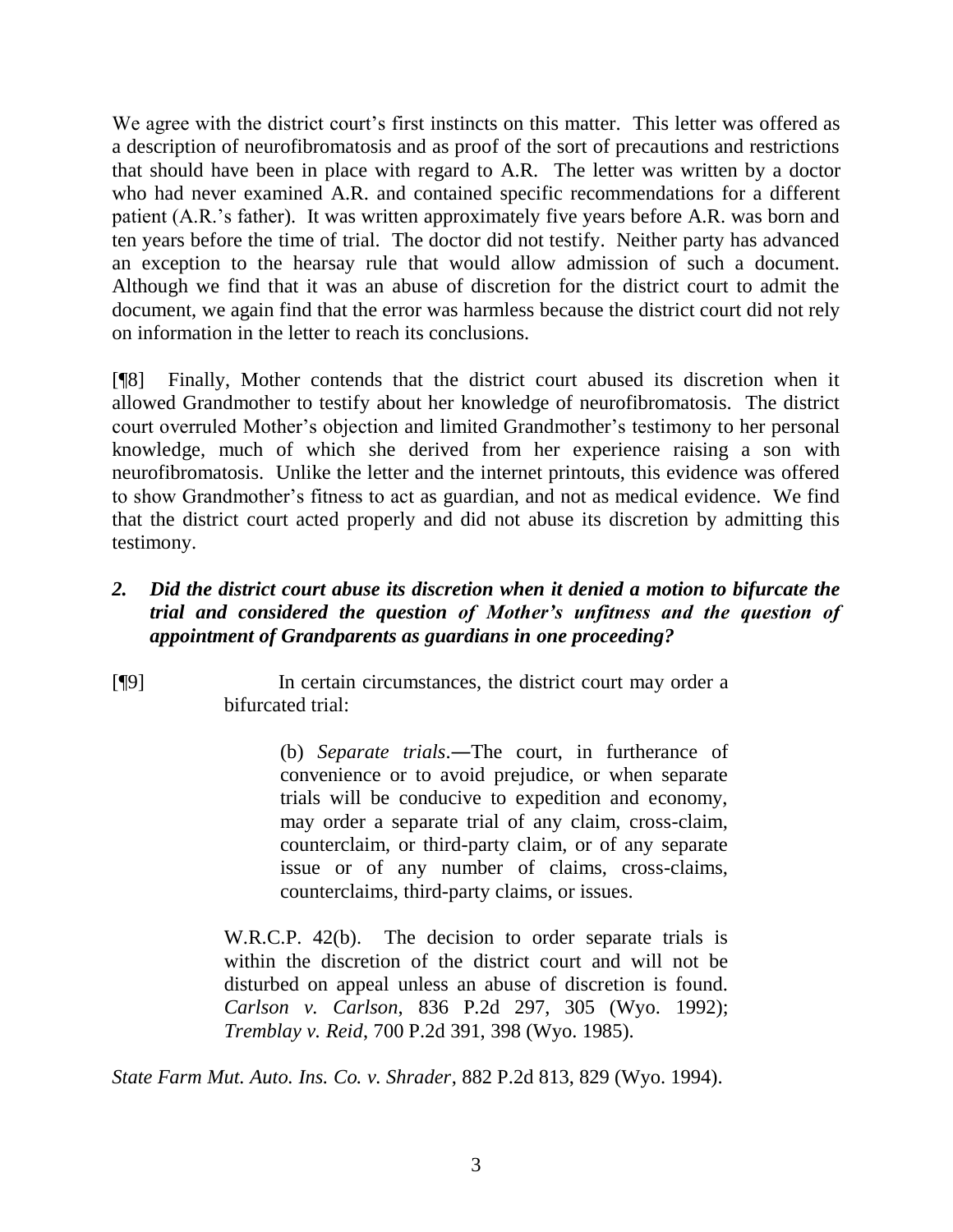We agree with the district court's first instincts on this matter. This letter was offered as a description of neurofibromatosis and as proof of the sort of precautions and restrictions that should have been in place with regard to A.R. The letter was written by a doctor who had never examined A.R. and contained specific recommendations for a different patient (A.R.'s father). It was written approximately five years before A.R. was born and ten years before the time of trial. The doctor did not testify. Neither party has advanced an exception to the hearsay rule that would allow admission of such a document. Although we find that it was an abuse of discretion for the district court to admit the document, we again find that the error was harmless because the district court did not rely on information in the letter to reach its conclusions.

[¶8] Finally, Mother contends that the district court abused its discretion when it allowed Grandmother to testify about her knowledge of neurofibromatosis. The district court overruled Mother's objection and limited Grandmother's testimony to her personal knowledge, much of which she derived from her experience raising a son with neurofibromatosis. Unlike the letter and the internet printouts, this evidence was offered to show Grandmother's fitness to act as guardian, and not as medical evidence. We find that the district court acted properly and did not abuse its discretion by admitting this testimony.

# *2. Did the district court abuse its discretion when it denied a motion to bifurcate the trial and considered the question of Mother's unfitness and the question of appointment of Grandparents as guardians in one proceeding?*

[¶9] In certain circumstances, the district court may order a bifurcated trial:

> (b) *Separate trials*.―The court, in furtherance of convenience or to avoid prejudice, or when separate trials will be conducive to expedition and economy, may order a separate trial of any claim, cross-claim, counterclaim, or third-party claim, or of any separate issue or of any number of claims, cross-claims, counterclaims, third-party claims, or issues.

W.R.C.P. 42(b). The decision to order separate trials is within the discretion of the district court and will not be disturbed on appeal unless an abuse of discretion is found. *Carlson v. Carlson*, 836 P.2d 297, 305 (Wyo. 1992); *Tremblay v. Reid*, 700 P.2d 391, 398 (Wyo. 1985).

*State Farm Mut. Auto. Ins. Co. v. Shrader*, 882 P.2d 813, 829 (Wyo. 1994).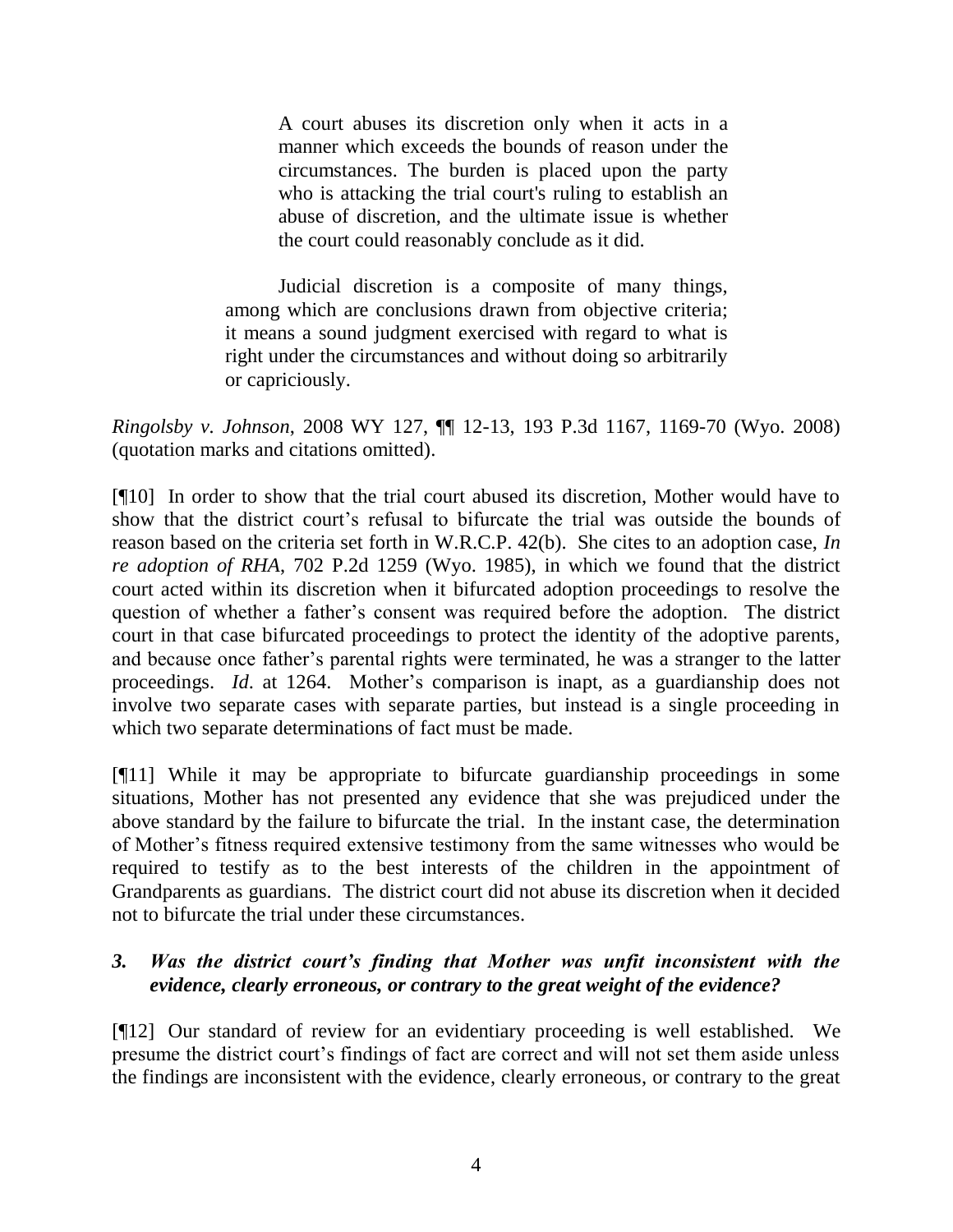A court abuses its discretion only when it acts in a manner which exceeds the bounds of reason under the circumstances. The burden is placed upon the party who is attacking the trial court's ruling to establish an abuse of discretion, and the ultimate issue is whether the court could reasonably conclude as it did.

Judicial discretion is a composite of many things, among which are conclusions drawn from objective criteria; it means a sound judgment exercised with regard to what is right under the circumstances and without doing so arbitrarily or capriciously.

*Ringolsby v. Johnson*, 2008 WY 127, ¶¶ 12-13, 193 P.3d 1167, 1169-70 (Wyo. 2008) (quotation marks and citations omitted).

[¶10] In order to show that the trial court abused its discretion, Mother would have to show that the district court's refusal to bifurcate the trial was outside the bounds of reason based on the criteria set forth in W.R.C.P. 42(b). She cites to an adoption case, *In re adoption of RHA*, 702 P.2d 1259 (Wyo. 1985), in which we found that the district court acted within its discretion when it bifurcated adoption proceedings to resolve the question of whether a father's consent was required before the adoption. The district court in that case bifurcated proceedings to protect the identity of the adoptive parents, and because once father's parental rights were terminated, he was a stranger to the latter proceedings. *Id*. at 1264. Mother's comparison is inapt, as a guardianship does not involve two separate cases with separate parties, but instead is a single proceeding in which two separate determinations of fact must be made.

[¶11] While it may be appropriate to bifurcate guardianship proceedings in some situations, Mother has not presented any evidence that she was prejudiced under the above standard by the failure to bifurcate the trial. In the instant case, the determination of Mother's fitness required extensive testimony from the same witnesses who would be required to testify as to the best interests of the children in the appointment of Grandparents as guardians. The district court did not abuse its discretion when it decided not to bifurcate the trial under these circumstances.

# *3. Was the district court's finding that Mother was unfit inconsistent with the evidence, clearly erroneous, or contrary to the great weight of the evidence?*

[¶12] Our standard of review for an evidentiary proceeding is well established. We presume the district court's findings of fact are correct and will not set them aside unless the findings are inconsistent with the evidence, clearly erroneous, or contrary to the great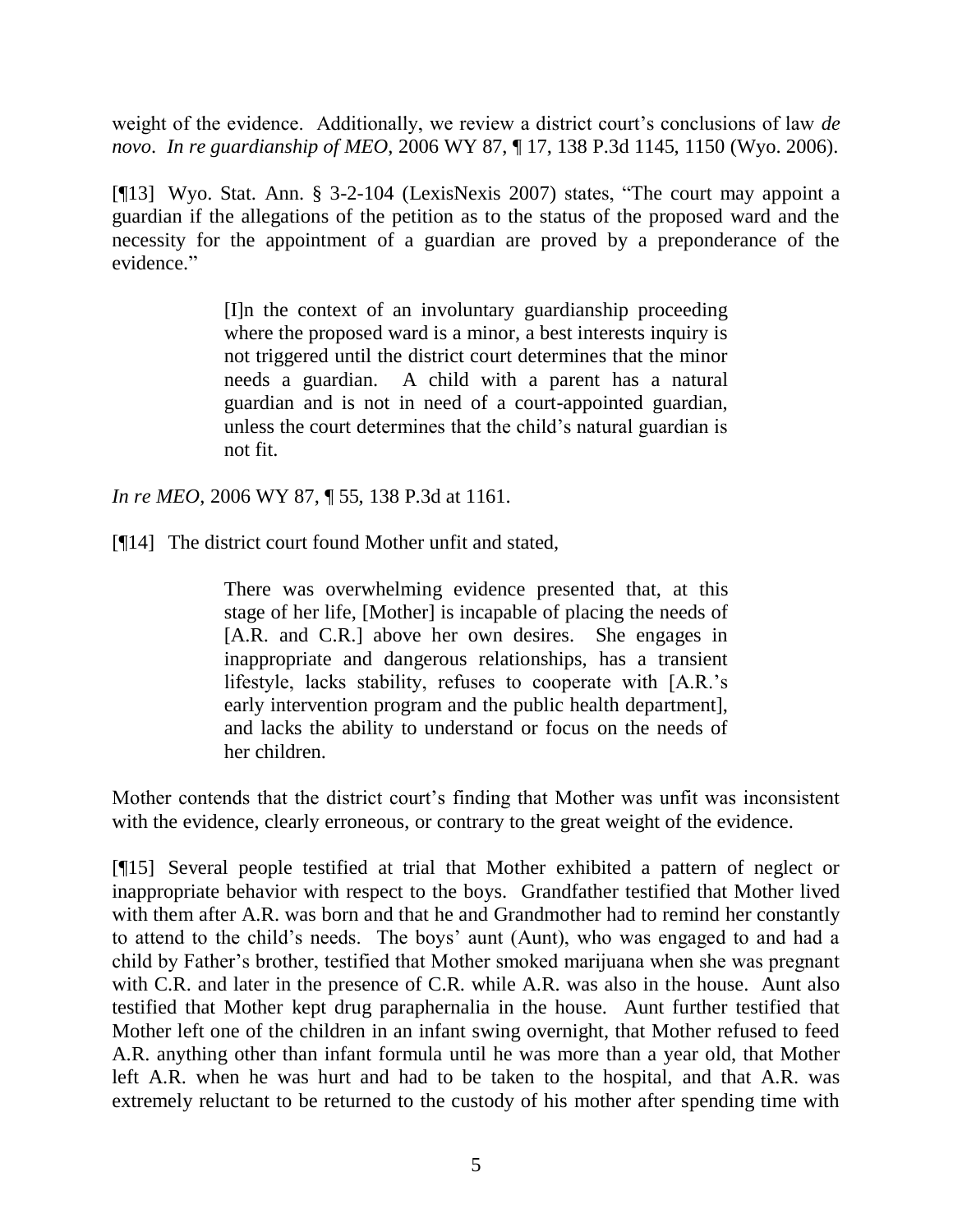weight of the evidence. Additionally, we review a district court's conclusions of law *de novo*. *In re guardianship of MEO*, 2006 WY 87, ¶ 17, 138 P.3d 1145, 1150 (Wyo. 2006).

[¶13] Wyo. Stat. Ann. § 3-2-104 (LexisNexis 2007) states, "The court may appoint a guardian if the allegations of the petition as to the status of the proposed ward and the necessity for the appointment of a guardian are proved by a preponderance of the evidence."

> [I]n the context of an involuntary guardianship proceeding where the proposed ward is a minor, a best interests inquiry is not triggered until the district court determines that the minor needs a guardian. A child with a parent has a natural guardian and is not in need of a court-appointed guardian, unless the court determines that the child's natural guardian is not fit.

*In re MEO*, 2006 WY 87, ¶ 55, 138 P.3d at 1161.

[¶14] The district court found Mother unfit and stated,

There was overwhelming evidence presented that, at this stage of her life, [Mother] is incapable of placing the needs of [A.R. and C.R.] above her own desires. She engages in inappropriate and dangerous relationships, has a transient lifestyle, lacks stability, refuses to cooperate with [A.R.'s early intervention program and the public health department], and lacks the ability to understand or focus on the needs of her children.

Mother contends that the district court's finding that Mother was unfit was inconsistent with the evidence, clearly erroneous, or contrary to the great weight of the evidence.

[¶15] Several people testified at trial that Mother exhibited a pattern of neglect or inappropriate behavior with respect to the boys. Grandfather testified that Mother lived with them after A.R. was born and that he and Grandmother had to remind her constantly to attend to the child's needs. The boys' aunt (Aunt), who was engaged to and had a child by Father's brother, testified that Mother smoked marijuana when she was pregnant with C.R. and later in the presence of C.R. while A.R. was also in the house. Aunt also testified that Mother kept drug paraphernalia in the house. Aunt further testified that Mother left one of the children in an infant swing overnight, that Mother refused to feed A.R. anything other than infant formula until he was more than a year old, that Mother left A.R. when he was hurt and had to be taken to the hospital, and that A.R. was extremely reluctant to be returned to the custody of his mother after spending time with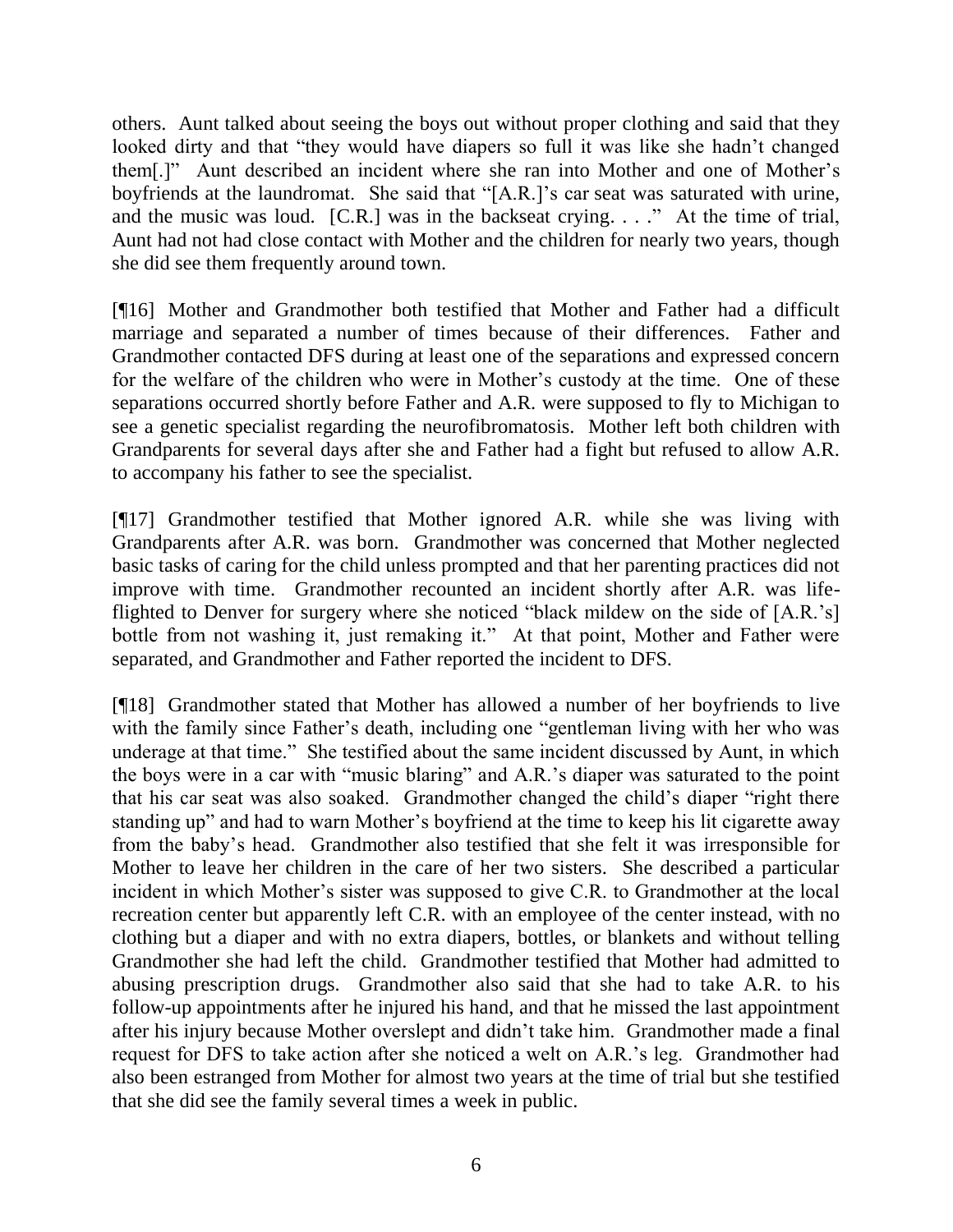others. Aunt talked about seeing the boys out without proper clothing and said that they looked dirty and that "they would have diapers so full it was like she hadn't changed them[.]" Aunt described an incident where she ran into Mother and one of Mother's boyfriends at the laundromat. She said that "[A.R.]'s car seat was saturated with urine, and the music was loud. [C.R.] was in the backseat crying. . . ." At the time of trial, Aunt had not had close contact with Mother and the children for nearly two years, though she did see them frequently around town.

[¶16] Mother and Grandmother both testified that Mother and Father had a difficult marriage and separated a number of times because of their differences. Father and Grandmother contacted DFS during at least one of the separations and expressed concern for the welfare of the children who were in Mother's custody at the time. One of these separations occurred shortly before Father and A.R. were supposed to fly to Michigan to see a genetic specialist regarding the neurofibromatosis. Mother left both children with Grandparents for several days after she and Father had a fight but refused to allow A.R. to accompany his father to see the specialist.

[¶17] Grandmother testified that Mother ignored A.R. while she was living with Grandparents after A.R. was born. Grandmother was concerned that Mother neglected basic tasks of caring for the child unless prompted and that her parenting practices did not improve with time. Grandmother recounted an incident shortly after A.R. was lifeflighted to Denver for surgery where she noticed "black mildew on the side of [A.R.'s] bottle from not washing it, just remaking it." At that point, Mother and Father were separated, and Grandmother and Father reported the incident to DFS.

[¶18] Grandmother stated that Mother has allowed a number of her boyfriends to live with the family since Father's death, including one "gentleman living with her who was underage at that time." She testified about the same incident discussed by Aunt, in which the boys were in a car with "music blaring" and A.R.'s diaper was saturated to the point that his car seat was also soaked. Grandmother changed the child's diaper "right there standing up" and had to warn Mother's boyfriend at the time to keep his lit cigarette away from the baby's head. Grandmother also testified that she felt it was irresponsible for Mother to leave her children in the care of her two sisters. She described a particular incident in which Mother's sister was supposed to give C.R. to Grandmother at the local recreation center but apparently left C.R. with an employee of the center instead, with no clothing but a diaper and with no extra diapers, bottles, or blankets and without telling Grandmother she had left the child. Grandmother testified that Mother had admitted to abusing prescription drugs. Grandmother also said that she had to take A.R. to his follow-up appointments after he injured his hand, and that he missed the last appointment after his injury because Mother overslept and didn't take him. Grandmother made a final request for DFS to take action after she noticed a welt on A.R.'s leg. Grandmother had also been estranged from Mother for almost two years at the time of trial but she testified that she did see the family several times a week in public.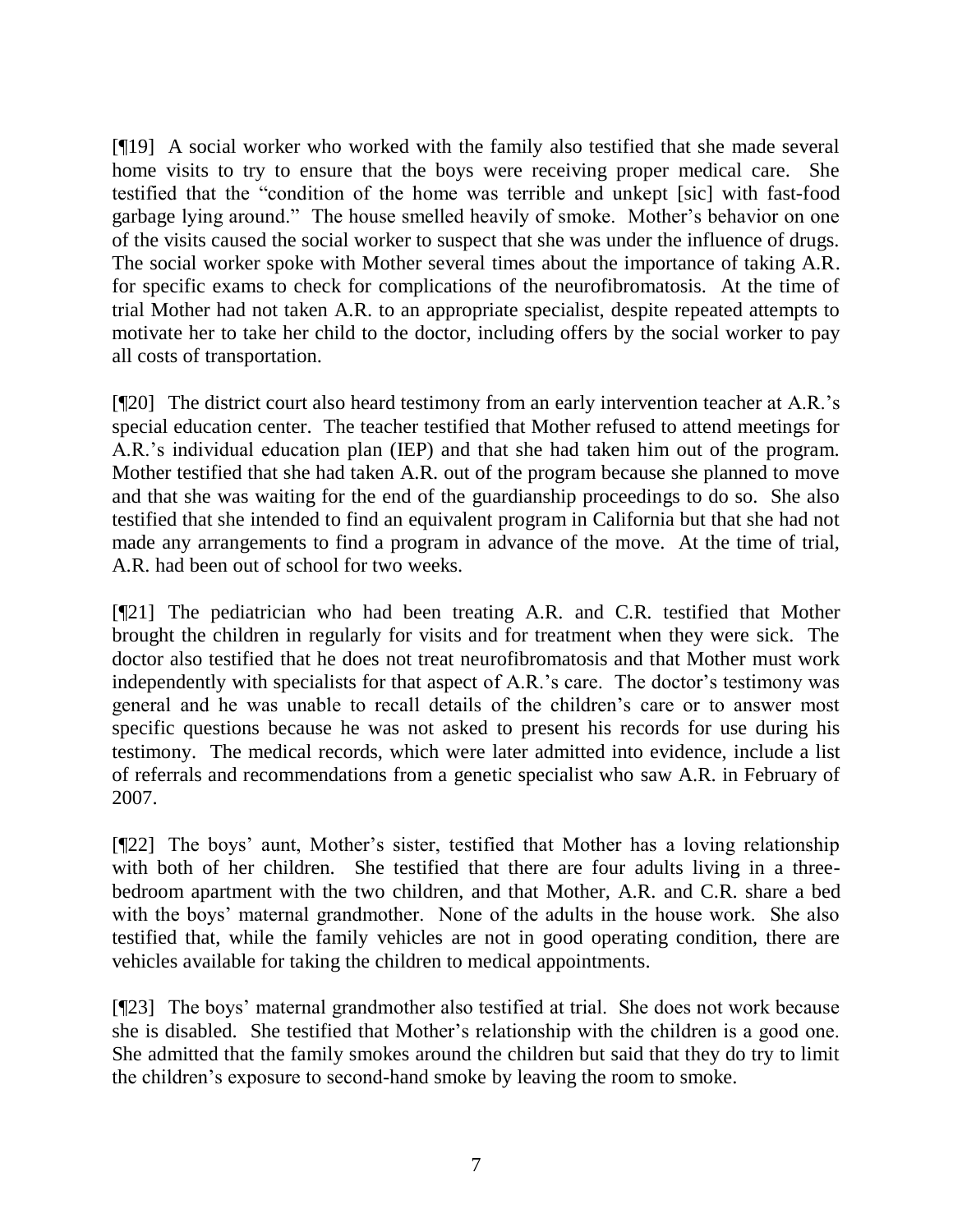[¶19] A social worker who worked with the family also testified that she made several home visits to try to ensure that the boys were receiving proper medical care. She testified that the "condition of the home was terrible and unkept [sic] with fast-food garbage lying around." The house smelled heavily of smoke. Mother's behavior on one of the visits caused the social worker to suspect that she was under the influence of drugs. The social worker spoke with Mother several times about the importance of taking A.R. for specific exams to check for complications of the neurofibromatosis. At the time of trial Mother had not taken A.R. to an appropriate specialist, despite repeated attempts to motivate her to take her child to the doctor, including offers by the social worker to pay all costs of transportation.

[¶20] The district court also heard testimony from an early intervention teacher at A.R.'s special education center. The teacher testified that Mother refused to attend meetings for A.R.'s individual education plan (IEP) and that she had taken him out of the program. Mother testified that she had taken A.R. out of the program because she planned to move and that she was waiting for the end of the guardianship proceedings to do so. She also testified that she intended to find an equivalent program in California but that she had not made any arrangements to find a program in advance of the move. At the time of trial, A.R. had been out of school for two weeks.

[¶21] The pediatrician who had been treating A.R. and C.R. testified that Mother brought the children in regularly for visits and for treatment when they were sick. The doctor also testified that he does not treat neurofibromatosis and that Mother must work independently with specialists for that aspect of A.R.'s care. The doctor's testimony was general and he was unable to recall details of the children's care or to answer most specific questions because he was not asked to present his records for use during his testimony. The medical records, which were later admitted into evidence, include a list of referrals and recommendations from a genetic specialist who saw A.R. in February of 2007.

[¶22] The boys' aunt, Mother's sister, testified that Mother has a loving relationship with both of her children. She testified that there are four adults living in a threebedroom apartment with the two children, and that Mother, A.R. and C.R. share a bed with the boys' maternal grandmother. None of the adults in the house work. She also testified that, while the family vehicles are not in good operating condition, there are vehicles available for taking the children to medical appointments.

[¶23] The boys' maternal grandmother also testified at trial. She does not work because she is disabled. She testified that Mother's relationship with the children is a good one. She admitted that the family smokes around the children but said that they do try to limit the children's exposure to second-hand smoke by leaving the room to smoke.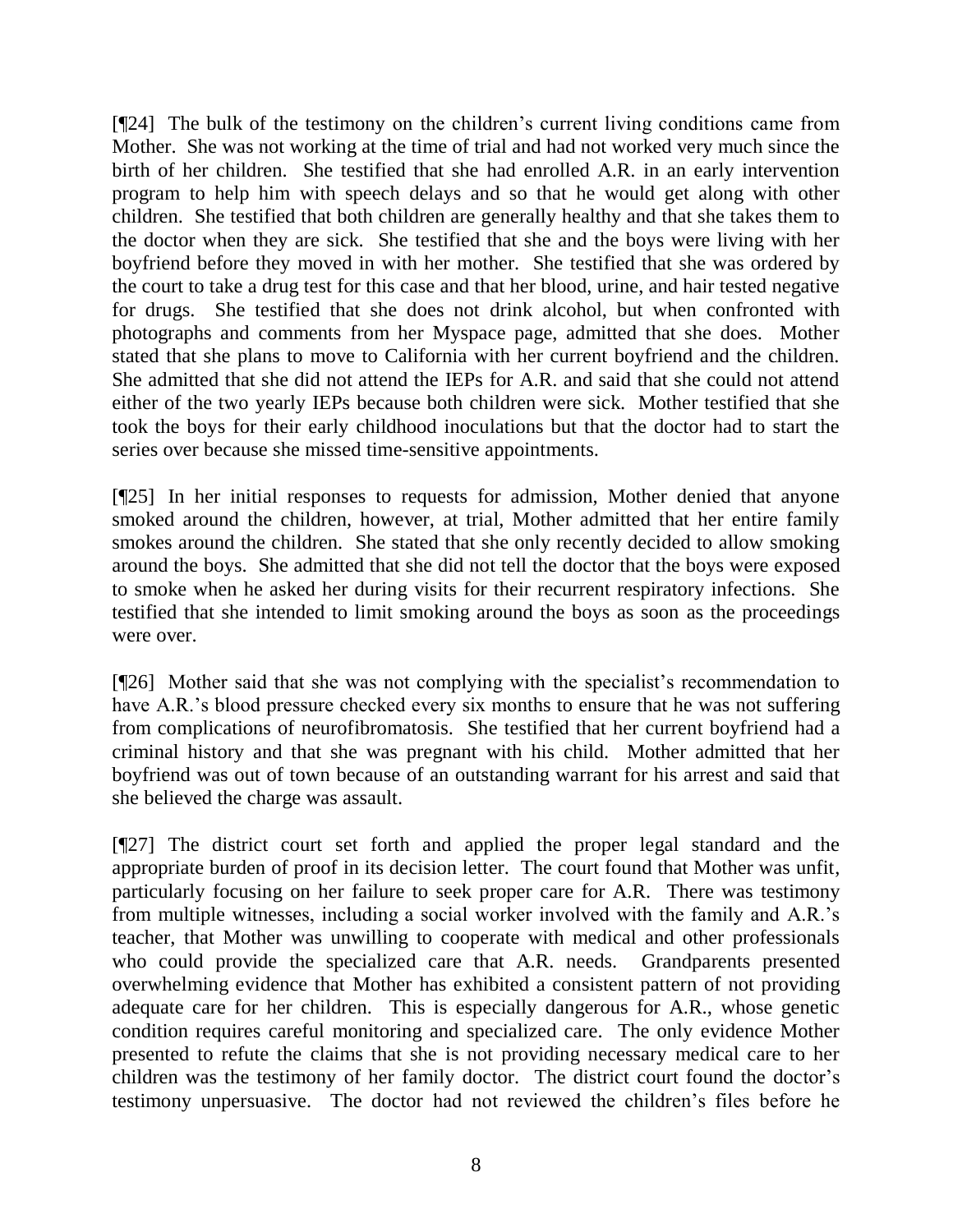[¶24] The bulk of the testimony on the children's current living conditions came from Mother. She was not working at the time of trial and had not worked very much since the birth of her children. She testified that she had enrolled A.R. in an early intervention program to help him with speech delays and so that he would get along with other children. She testified that both children are generally healthy and that she takes them to the doctor when they are sick. She testified that she and the boys were living with her boyfriend before they moved in with her mother. She testified that she was ordered by the court to take a drug test for this case and that her blood, urine, and hair tested negative for drugs. She testified that she does not drink alcohol, but when confronted with photographs and comments from her Myspace page, admitted that she does. Mother stated that she plans to move to California with her current boyfriend and the children. She admitted that she did not attend the IEPs for A.R. and said that she could not attend either of the two yearly IEPs because both children were sick. Mother testified that she took the boys for their early childhood inoculations but that the doctor had to start the series over because she missed time-sensitive appointments.

[¶25] In her initial responses to requests for admission, Mother denied that anyone smoked around the children, however, at trial, Mother admitted that her entire family smokes around the children. She stated that she only recently decided to allow smoking around the boys. She admitted that she did not tell the doctor that the boys were exposed to smoke when he asked her during visits for their recurrent respiratory infections. She testified that she intended to limit smoking around the boys as soon as the proceedings were over.

[¶26] Mother said that she was not complying with the specialist's recommendation to have A.R.'s blood pressure checked every six months to ensure that he was not suffering from complications of neurofibromatosis. She testified that her current boyfriend had a criminal history and that she was pregnant with his child. Mother admitted that her boyfriend was out of town because of an outstanding warrant for his arrest and said that she believed the charge was assault.

[¶27] The district court set forth and applied the proper legal standard and the appropriate burden of proof in its decision letter. The court found that Mother was unfit, particularly focusing on her failure to seek proper care for A.R. There was testimony from multiple witnesses, including a social worker involved with the family and A.R.'s teacher, that Mother was unwilling to cooperate with medical and other professionals who could provide the specialized care that A.R. needs. Grandparents presented overwhelming evidence that Mother has exhibited a consistent pattern of not providing adequate care for her children. This is especially dangerous for A.R., whose genetic condition requires careful monitoring and specialized care. The only evidence Mother presented to refute the claims that she is not providing necessary medical care to her children was the testimony of her family doctor. The district court found the doctor's testimony unpersuasive. The doctor had not reviewed the children's files before he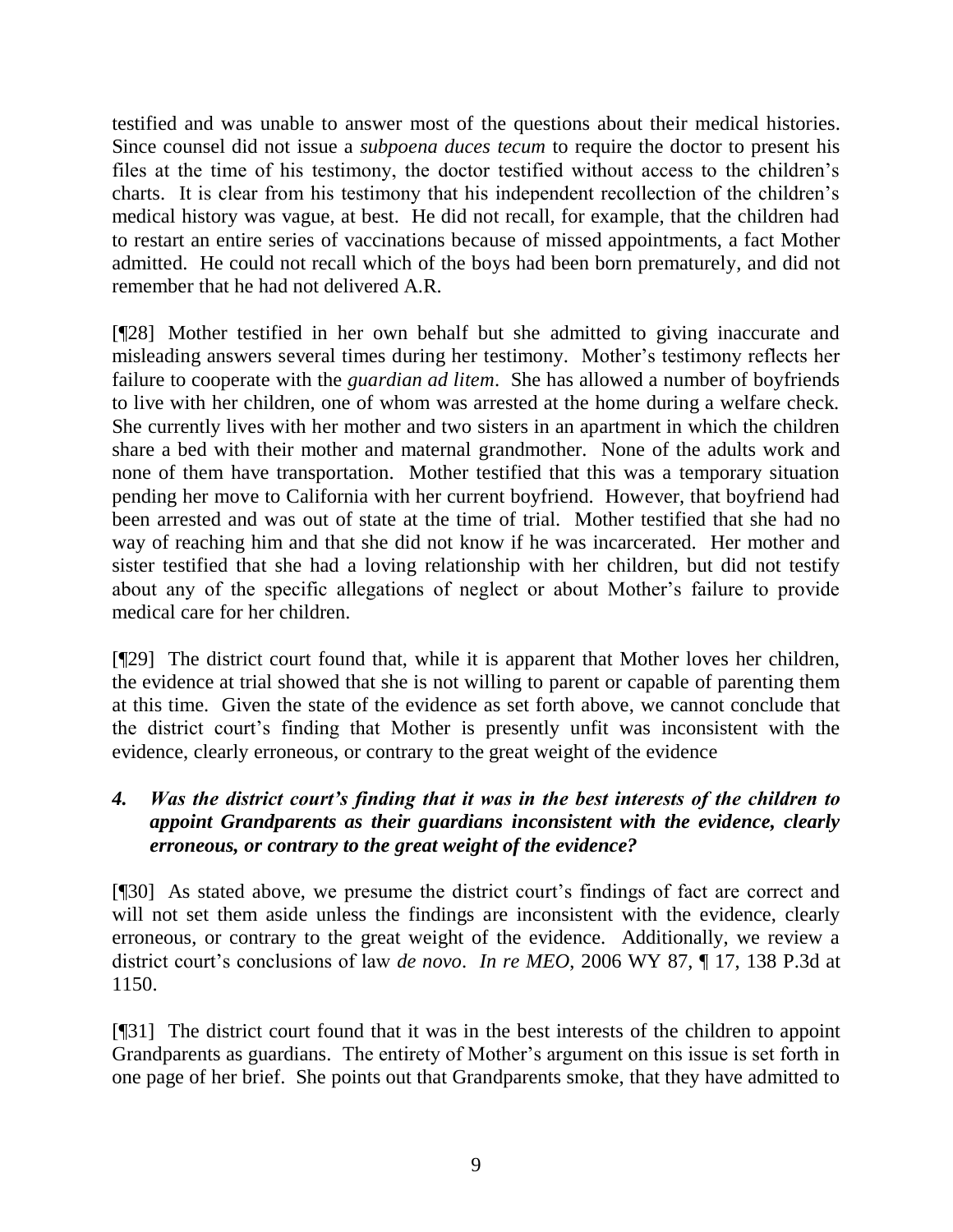testified and was unable to answer most of the questions about their medical histories. Since counsel did not issue a *subpoena duces tecum* to require the doctor to present his files at the time of his testimony, the doctor testified without access to the children's charts. It is clear from his testimony that his independent recollection of the children's medical history was vague, at best. He did not recall, for example, that the children had to restart an entire series of vaccinations because of missed appointments, a fact Mother admitted. He could not recall which of the boys had been born prematurely, and did not remember that he had not delivered A.R.

[¶28] Mother testified in her own behalf but she admitted to giving inaccurate and misleading answers several times during her testimony. Mother's testimony reflects her failure to cooperate with the *guardian ad litem*. She has allowed a number of boyfriends to live with her children, one of whom was arrested at the home during a welfare check. She currently lives with her mother and two sisters in an apartment in which the children share a bed with their mother and maternal grandmother. None of the adults work and none of them have transportation. Mother testified that this was a temporary situation pending her move to California with her current boyfriend. However, that boyfriend had been arrested and was out of state at the time of trial. Mother testified that she had no way of reaching him and that she did not know if he was incarcerated. Her mother and sister testified that she had a loving relationship with her children, but did not testify about any of the specific allegations of neglect or about Mother's failure to provide medical care for her children.

[¶29] The district court found that, while it is apparent that Mother loves her children, the evidence at trial showed that she is not willing to parent or capable of parenting them at this time. Given the state of the evidence as set forth above, we cannot conclude that the district court's finding that Mother is presently unfit was inconsistent with the evidence, clearly erroneous, or contrary to the great weight of the evidence

# *4. Was the district court's finding that it was in the best interests of the children to appoint Grandparents as their guardians inconsistent with the evidence, clearly erroneous, or contrary to the great weight of the evidence?*

[¶30] As stated above, we presume the district court's findings of fact are correct and will not set them aside unless the findings are inconsistent with the evidence, clearly erroneous, or contrary to the great weight of the evidence. Additionally, we review a district court's conclusions of law *de novo*. *In re MEO*, 2006 WY 87, ¶ 17, 138 P.3d at 1150.

[¶31] The district court found that it was in the best interests of the children to appoint Grandparents as guardians. The entirety of Mother's argument on this issue is set forth in one page of her brief. She points out that Grandparents smoke, that they have admitted to